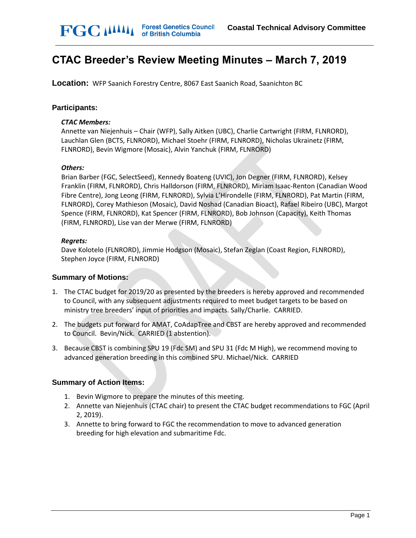# **CTAC Breeder's Review Meeting Minutes – March 7, 2019**

**Location:** WFP Saanich Forestry Centre, 8067 East Saanich Road, Saanichton BC

#### **Participants:**

#### *CTAC Members:*

Annette van Niejenhuis – Chair (WFP), Sally Aitken (UBC), Charlie Cartwright (FIRM, FLNRORD), Lauchlan Glen (BCTS, FLNRORD), Michael Stoehr (FIRM, FLNRORD), Nicholas Ukrainetz (FIRM, FLNRORD), Bevin Wigmore (Mosaic), Alvin Yanchuk (FIRM, FLNRORD)

#### *Others:*

Brian Barber (FGC, SelectSeed), Kennedy Boateng (UVIC), Jon Degner (FIRM, FLNRORD), Kelsey Franklin (FIRM, FLNRORD), Chris Halldorson (FIRM, FLNRORD), Miriam Isaac-Renton (Canadian Wood Fibre Centre), Jong Leong (FIRM, FLNRORD), Sylvia L'Hirondelle (FIRM, FLNRORD), Pat Martin (FIRM, FLNRORD), Corey Mathieson (Mosaic), David Noshad (Canadian Bioact), Rafael Ribeiro (UBC), Margot Spence (FIRM, FLNRORD), Kat Spencer (FIRM, FLNRORD), Bob Johnson (Capacity), Keith Thomas (FIRM, FLNRORD), Lise van der Merwe (FIRM, FLNRORD)

#### *Regrets:*

Dave Kolotelo (FLNRORD), Jimmie Hodgson (Mosaic), Stefan Zeglan (Coast Region, FLNRORD), Stephen Joyce (FIRM, FLNRORD)

#### **Summary of Motions:**

- 1. The CTAC budget for 2019/20 as presented by the breeders is hereby approved and recommended to Council, with any subsequent adjustments required to meet budget targets to be based on ministry tree breeders' input of priorities and impacts. Sally/Charlie. CARRIED.
- 2. The budgets put forward for AMAT, CoAdapTree and CBST are hereby approved and recommended to Council. Bevin/Nick. CARRIED (1 abstention).
- 3. Because CBST is combining SPU 19 (Fdc SM) and SPU 31 (Fdc M High), we recommend moving to advanced generation breeding in this combined SPU. Michael/Nick. CARRIED

#### **Summary of Action Items:**

- 1. Bevin Wigmore to prepare the minutes of this meeting.
- 2. Annette van Niejenhuis (CTAC chair) to present the CTAC budget recommendations to FGC (April 2, 2019).
- 3. Annette to bring forward to FGC the recommendation to move to advanced generation breeding for high elevation and submaritime Fdc.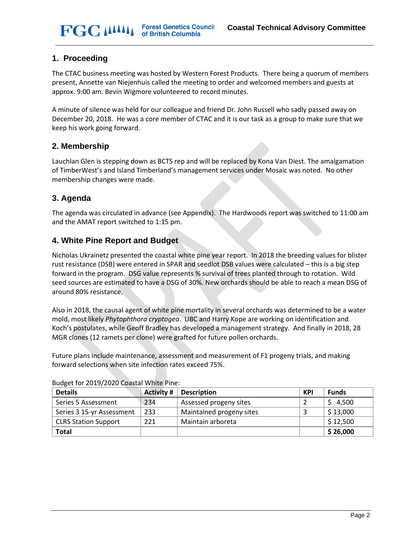## **1. Proceeding**

The CTAC business meeting was hosted by Western Forest Products. There being a quorum of members present, Annette van Niejenhuis called the meeting to order and welcomed members and guests at approx. 9:00 am. Bevin Wigmore volunteered to record minutes.

A minute of silence was held for our colleague and friend Dr. John Russell who sadly passed away on December 20, 2018. He was a core member of CTAC and it is our task as a group to make sure that we keep his work going forward.

## **2. Membership**

Lauchlan Glen is stepping down as BCTS rep and will be replaced by Kona Van Diest. The amalgamation of TimberWest's and Island Timberland's management services under Mosaic was noted. No other membership changes were made.

## **3. Agenda**

The agenda was circulated in advance (see Appendix). The Hardwoods report was switched to 11:00 am and the AMAT report switched to 1:15 pm.

## **4. White Pine Report and Budget**

Nicholas Ukrainetz presented the coastal white pine year report. In 2018 the breeding values for blister rust resistance (DSB) were entered in SPAR and seedlot DSB values were calculated – this is a big step forward in the program. DSG value represents % survival of trees planted through to rotation. Wild seed sources are estimated to have a DSG of 30%. New orchards should be able to reach a mean DSG of around 80% resistance.

Also in 2018, the causal agent of white pine mortality in several orchards was determined to be a water mold, most likely *Phytophthora cryptogea*. UBC and Harry Kope are working on identification and Koch's postulates, while Geoff Bradley has developed a management strategy. And finally in 2018, 28 MGR clones (12 ramets per clone) were grafted for future pollen orchards.

Future plans include maintenance, assessment and measurement of F1 progeny trials, and making forward selections when site infection rates exceed 75%.

| <b>Details</b>              | <b>Activity #</b> | <b>Description</b>       | <b>KPI</b> | <b>Funds</b>         |
|-----------------------------|-------------------|--------------------------|------------|----------------------|
| Series 5 Assessment         | 234               | Assessed progeny sites   |            | 4,500                |
| Series 3 15-yr Assessment   | 233               | Maintained progeny sites |            | \$13,000             |
| <b>CLRS Station Support</b> | 221               | Maintain arboreta        |            | $\frac{1}{2}$ 12,500 |
| <b>Total</b>                |                   |                          |            | \$26,000             |

#### Budget for 2019/2020 Coastal White Pine: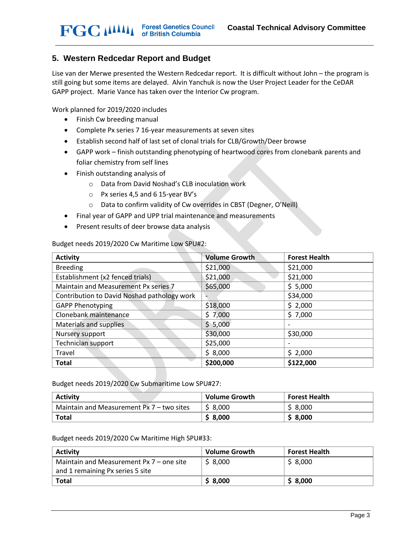## **5. Western Redcedar Report and Budget**

Lise van der Merwe presented the Western Redcedar report. It is difficult without John – the program is still going but some items are delayed. Alvin Yanchuk is now the User Project Leader for the CeDAR GAPP project. Marie Vance has taken over the Interior Cw program.

Work planned for 2019/2020 includes

- Finish Cw breeding manual
- Complete Px series 7 16-year measurements at seven sites
- Establish second half of last set of clonal trials for CLB/Growth/Deer browse
- GAPP work finish outstanding phenotyping of heartwood cores from clonebank parents and foliar chemistry from self lines
- Finish outstanding analysis of
	- o Data from David Noshad's CLB inoculation work
	- o Px series 4,5 and 6 15-year BV's
	- o Data to confirm validity of Cw overrides in CBST (Degner, O'Neill)
- Final year of GAPP and UPP trial maintenance and measurements
- Present results of deer browse data analysis

Budget needs 2019/2020 Cw Maritime Low SPU#2:

| <b>Activity</b>                             | <b>Volume Growth</b> | <b>Forest Health</b> |
|---------------------------------------------|----------------------|----------------------|
| <b>Breeding</b>                             | \$21,000             | \$21,000             |
| Establishment (x2 fenced trials)            | \$21,000             | \$21,000             |
| Maintain and Measurement Px series 7        | \$65,000             | \$5,000              |
| Contribution to David Noshad pathology work |                      | \$34,000             |
| <b>GAPP Phenotyping</b>                     | \$18,000             | \$2,000              |
| Clonebank maintenance                       | \$7,000              | \$7,000              |
| Materials and supplies                      | \$5,000              |                      |
| Nursery support                             | \$30,000             | \$30,000             |
| Technician support                          | \$25,000             |                      |
| Travel                                      | \$8,000              | \$2,000              |
| <b>Total</b>                                | \$200,000            | \$122,000            |

Budget needs 2019/2020 Cw Submaritime Low SPU#27:

| <b>Activity</b>                           | <b>Volume Growth</b> | <b>Forest Health</b> |
|-------------------------------------------|----------------------|----------------------|
| Maintain and Measurement Px 7 – two sites | \$ 8.000             | \$8,000              |
| <b>Total</b>                              | \$ 8,000             | \$8,000              |

Budget needs 2019/2020 Cw Maritime High SPU#33:

| <b>Activity</b>                            | <b>Volume Growth</b> | <b>Forest Health</b> |
|--------------------------------------------|----------------------|----------------------|
| Maintain and Measurement $Px$ 7 – one site | \$8,000              | \$8,000              |
| and 1 remaining Px series 5 site           |                      |                      |
| Total                                      | \$8,000              | \$8,000              |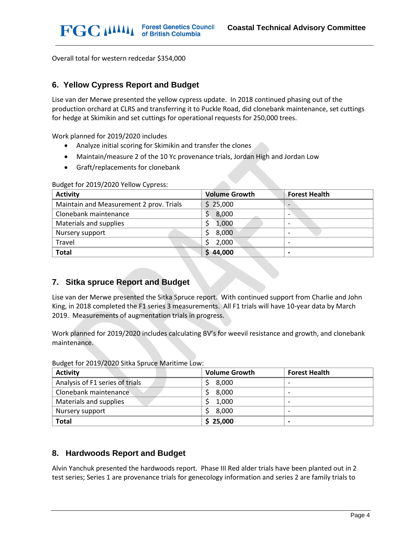Overall total for western redcedar \$354,000

#### **6. Yellow Cypress Report and Budget**

Lise van der Merwe presented the yellow cypress update. In 2018 continued phasing out of the production orchard at CLRS and transferring it to Puckle Road, did clonebank maintenance, set cuttings for hedge at Skimikin and set cuttings for operational requests for 250,000 trees.

Work planned for 2019/2020 includes

- Analyze initial scoring for Skimikin and transfer the clones
- Maintain/measure 2 of the 10 Yc provenance trials, Jordan High and Jordan Low
- Graft/replacements for clonebank

| <b>Activity</b>                         | <b>Volume Growth</b> | <b>Forest Health</b> |
|-----------------------------------------|----------------------|----------------------|
| Maintain and Measurement 2 prov. Trials | \$25,000             | -                    |
| Clonebank maintenance                   | 8,000                | ۰                    |
| Materials and supplies                  | 1,000                |                      |
| Nursery support                         | 8,000                |                      |
| Travel                                  | 2,000                |                      |
| <b>Total</b>                            | \$44,000             |                      |

#### Budget for 2019/2020 Yellow Cypress:

### **7. Sitka spruce Report and Budget**

Lise van der Merwe presented the Sitka Spruce report. With continued support from Charlie and John King, in 2018 completed the F1 series 3 measurements. All F1 trials will have 10-year data by March 2019. Measurements of augmentation trials in progress.

Work planned for 2019/2020 includes calculating BV's for weevil resistance and growth, and clonebank maintenance.

| <b>Activity</b>                 | <b>Volume Growth</b> | <b>Forest Health</b> |
|---------------------------------|----------------------|----------------------|
| Analysis of F1 series of trials | 8,000                |                      |
| Clonebank maintenance           | 8,000                |                      |
| Materials and supplies          | 1,000                | -                    |
| Nursery support                 | 8,000                | -                    |
| <b>Total</b>                    | \$25,000             | -                    |

Budget for 2019/2020 Sitka Spruce Maritime Low:

### **8. Hardwoods Report and Budget**

Alvin Yanchuk presented the hardwoods report. Phase III Red alder trials have been planted out in 2 test series; Series 1 are provenance trials for genecology information and series 2 are family trials to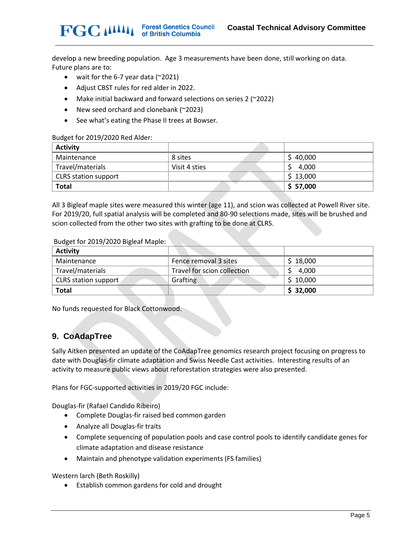develop a new breeding population. Age 3 measurements have been done, still working on data. Future plans are to:

- wait for the 6-7 year data (~2021)
- Adjust CBST rules for red alder in 2022.
- Make initial backward and forward selections on series 2 (~2022)
- New seed orchard and clonebank (~2023)
- See what's eating the Phase II trees at Bowser.

#### Budget for 2019/2020 Red Alder:

**FGC MMI** 

| <b>Activity</b>             |               |           |
|-----------------------------|---------------|-----------|
| Maintenance                 | 8 sites       | \$40,000  |
| Travel/materials            | Visit 4 sties | 4,000     |
| <b>CLRS</b> station support |               | \$13,000  |
| <b>Total</b>                |               | \$ 57,000 |

All 3 Bigleaf maple sites were measured this winter (age 11), and scion was collected at Powell River site. For 2019/20, full spatial analysis will be completed and 80-90 selections made, sites will be brushed and scion collected from the other two sites with grafting to be done at CLRS.

#### Budget for 2019/2020 Bigleaf Maple:

| <b>Activity</b>      |                             |          |
|----------------------|-----------------------------|----------|
| Maintenance          | Fence removal 3 sites       | \$18,000 |
| Travel/materials     | Travel for scion collection | 4,000    |
| CLRS station support | Grafting                    | \$10,000 |
| <b>Total</b>         |                             | \$32,000 |

No funds requested for Black Cottonwood.

### **9. CoAdapTree**

Sally Aitken presented an update of the CoAdapTree genomics research project focusing on progress to date with Douglas-fir climate adaptation and Swiss Needle Cast activities. Interesting results of an activity to measure public views about reforestation strategies were also presented.

Plans for FGC-supported activities in 2019/20 FGC include:

Douglas-fir (Rafael Candido Ribeiro)

- Complete Douglas-fir raised bed common garden
- Analyze all Douglas-fir traits
- Complete sequencing of population pools and case control pools to identify candidate genes for climate adaptation and disease resistance
- Maintain and phenotype validation experiments (FS families)

Western larch (Beth Roskilly)

• Establish common gardens for cold and drought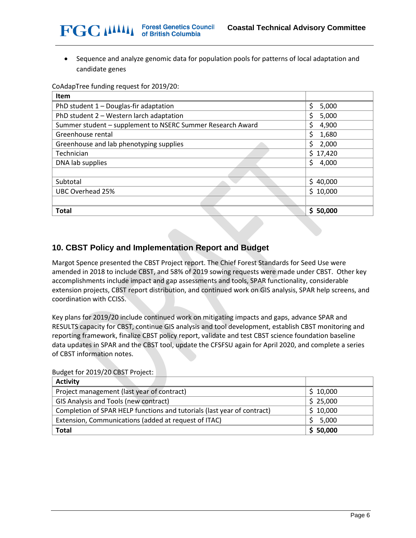• Sequence and analyze genomic data for population pools for patterns of local adaptation and candidate genes

CoAdapTree funding request for 2019/20:

| <b>Item</b>                                                |             |
|------------------------------------------------------------|-------------|
| PhD student 1 - Douglas-fir adaptation                     | \$<br>5,000 |
| PhD student 2 - Western larch adaptation                   | \$<br>5,000 |
| Summer student - supplement to NSERC Summer Research Award | \$<br>4,900 |
| Greenhouse rental                                          | \$<br>1,680 |
| Greenhouse and lab phenotyping supplies                    | \$<br>2,000 |
| Technician                                                 | \$17,420    |
| DNA lab supplies                                           | Ś<br>4,000  |
|                                                            |             |
| Subtotal                                                   | \$40,000    |
| UBC Overhead 25%                                           | \$10,000    |
|                                                            |             |
| <b>Total</b>                                               | \$50,000    |

## **10. CBST Policy and Implementation Report and Budget**

Margot Spence presented the CBST Project report. The Chief Forest Standards for Seed Use were amended in 2018 to include CBST, and 58% of 2019 sowing requests were made under CBST. Other key accomplishments include impact and gap assessments and tools, SPAR functionality, considerable extension projects, CBST report distribution, and continued work on GIS analysis, SPAR help screens, and coordination with CCISS.

Key plans for 2019/20 include continued work on mitigating impacts and gaps, advance SPAR and RESULTS capacity for CBST, continue GIS analysis and tool development, establish CBST monitoring and reporting framework, finalize CBST policy report, validate and test CBST science foundation baseline data updates in SPAR and the CBST tool, update the CFSFSU again for April 2020, and complete a series of CBST information notes.

| <b>Activity</b>                                                         |          |
|-------------------------------------------------------------------------|----------|
| Project management (last year of contract)                              | \$10,000 |
| GIS Analysis and Tools (new contract)                                   | \$25,000 |
| Completion of SPAR HELP functions and tutorials (last year of contract) | \$10,000 |
| Extension, Communications (added at request of ITAC)                    | 5,000    |
| <b>Total</b>                                                            | \$50,000 |

Budget for 2019/20 CBST Project: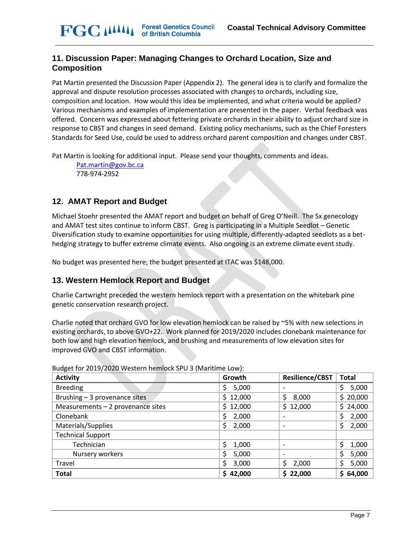## **11. Discussion Paper: Managing Changes to Orchard Location, Size and Composition**

Pat Martin presented the Discussion Paper (Appendix 2). The general idea is to clarify and formalize the approval and dispute resolution processes associated with changes to orchards, including size, composition and location. How would this idea be implemented, and what criteria would be applied? Various mechanisms and examples of implementation are presented in the paper. Verbal feedback was offered. Concern was expressed about fettering private orchards in their ability to adjust orchard size in response to CBST and changes in seed demand. Existing policy mechanisms, such as the Chief Foresters Standards for Seed Use, could be used to address orchard parent composition and changes under CBST.

Pat Martin is looking for additional input. Please send your thoughts, comments and ideas.

[Pat.martin@gov.bc.ca](mailto:Pat.martin@gov.bc.ca) 778-974-2952

# **12. AMAT Report and Budget**

Michael Stoehr presented the AMAT report and budget on behalf of Greg O'Neill. The Sx genecology and AMAT test sites continue to inform CBST. Greg is participating in a Multiple Seedlot – Genetic Diversification study to examine opportunities for using multiple, differently-adapted seedlots as a bethedging strategy to buffer extreme climate events. Also ongoing is an extreme climate event study.

No budget was presented here; the budget presented at ITAC was \$148,000.

## **13. Western Hemlock Report and Budget**

Charlie Cartwright preceded the western hemlock report with a presentation on the whitebark pine genetic conservation research project.

Charlie noted that orchard GVO for low elevation hemlock can be raised by ~5% with new selections in existing orchards, to above GVO+22. Work planned for 2019/2020 includes clonebank maintenance for both low and high elevation hemlock, and brushing and measurements of low elevation sites for improved GVO and CBST information.

| <b>Activity</b>                   | Growth      | <b>Resilience/CBST</b>       | <b>Total</b> |
|-----------------------------------|-------------|------------------------------|--------------|
| <b>Breeding</b>                   | 5,000       | $\overline{\phantom{a}}$     | 5,000<br>Ś   |
| Brushing - 3 provenance sites     | \$12,000    | 8,000<br>\$                  | \$20,000     |
| Measurements - 2 provenance sites | \$12,000    | \$12,000                     | 24,000<br>Ś. |
| Clonebank                         | 2,000       |                              | 2,000        |
| Materials/Supplies                | 2,000<br>\$ | $\overline{\phantom{a}}$     | 2,000        |
| <b>Technical Support</b>          |             |                              |              |
| Technician                        | \$<br>1,000 |                              | Ś<br>1,000   |
| Nursery workers                   | \$<br>5,000 | $\qquad \qquad \blacksquare$ | 5,000        |
| Travel                            | 3,000       | Ś<br>2,000                   | 5,000        |
| <b>Total</b>                      | 42,000      | \$22,000                     | 64,000<br>S  |

Budget for 2019/2020 Western hemlock SPU 3 (Maritime Low):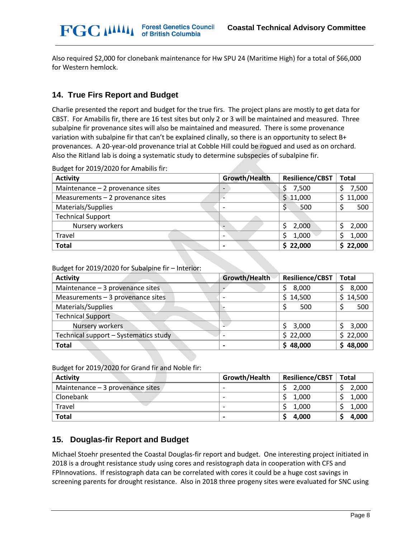Also required \$2,000 for clonebank maintenance for Hw SPU 24 (Maritime High) for a total of \$66,000 for Western hemlock.

## **14. True Firs Report and Budget**

**FGC MMI** 

Charlie presented the report and budget for the true firs. The project plans are mostly to get data for CBST. For Amabilis fir, there are 16 test sites but only 2 or 3 will be maintained and measured. Three subalpine fir provenance sites will also be maintained and measured. There is some provenance variation with subalpine fir that can't be explained clinally, so there is an opportunity to select B+ provenances. A 20-year-old provenance trial at Cobble Hill could be rogued and used as on orchard. Also the Ritland lab is doing a systematic study to determine subspecies of subalpine fir.

|  |  | Budget for 2019/2020 for Amabilis fir: |
|--|--|----------------------------------------|
|--|--|----------------------------------------|

| <b>Activity</b>                    | Growth/Health                | <b>Resilience/CBST</b> | <b>Total</b> |
|------------------------------------|------------------------------|------------------------|--------------|
| Maintenance $-2$ provenance sites  | $\qquad \qquad \blacksquare$ | 7,500                  | 7,500        |
| Measurements $-2$ provenance sites |                              | \$11,000               | 11,000<br>Ś  |
| Materials/Supplies                 |                              | 500<br>S               | 500          |
| <b>Technical Support</b>           |                              |                        |              |
| Nursery workers                    | $\overline{\phantom{0}}$     | 2,000                  | 2,000        |
| Travel                             | $\overline{\phantom{0}}$     | 1,000                  | 1,000        |
| <b>Total</b>                       |                              | \$22,000               | 22,000       |

Budget for 2019/2020 for Subalpine fir – Interior:

| <b>Activity</b>                       | Growth/Health | <b>Resilience/CBST</b> | <b>Total</b> |
|---------------------------------------|---------------|------------------------|--------------|
| Maintenance - 3 provenance sites      |               | 8,000                  | 8,000        |
| Measurements $-3$ provenance sites    |               | \$14,500               | 14,500<br>S  |
| Materials/Supplies                    |               | 500                    | 500          |
| <b>Technical Support</b>              |               |                        |              |
| Nursery workers                       |               | 3,000                  | 3,000        |
| Technical support - Systematics study |               | \$22,000               | 22,000<br>S  |
| <b>Total</b>                          |               | \$48,000               | 48,000       |

Budget for 2019/2020 for Grand fir and Noble fir:

| <b>Activity</b>                   | Growth/Health            | <b>Resilience/CBST</b> | <b>Total</b> |  |  |
|-----------------------------------|--------------------------|------------------------|--------------|--|--|
| Maintenance $-3$ provenance sites |                          | 2.000                  | 2,000        |  |  |
| Clonebank                         | $\overline{\phantom{0}}$ | 1.000                  | 1,000        |  |  |
| Travel                            |                          | 1,000                  | 1,000        |  |  |
| <b>Total</b>                      |                          | 4,000                  | 4,000        |  |  |

## **15. Douglas-fir Report and Budget**

Michael Stoehr presented the Coastal Douglas-fir report and budget. One interesting project initiated in 2018 is a drought resistance study using cores and resistograph data in cooperation with CFS and FPInnovations. If resistograph data can be correlated with cores it could be a huge cost savings in screening parents for drought resistance. Also in 2018 three progeny sites were evaluated for SNC using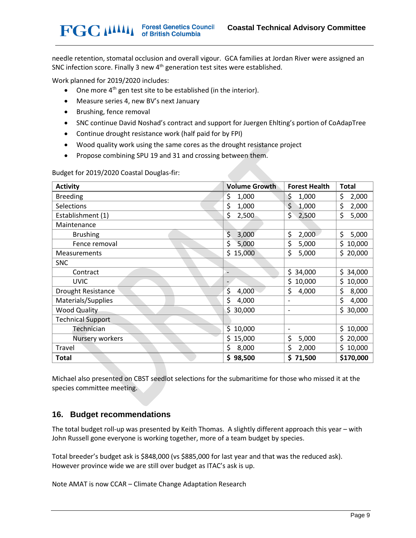needle retention, stomatal occlusion and overall vigour. GCA families at Jordan River were assigned an SNC infection score. Finally 3 new 4<sup>th</sup> generation test sites were established.

Work planned for 2019/2020 includes:

**FGC MMI** 

- One more  $4<sup>th</sup>$  gen test site to be established (in the interior).
- Measure series 4, new BV's next January
- Brushing, fence removal
- SNC continue David Noshad's contract and support for Juergen Ehlting's portion of CoAdapTree
- Continue drought resistance work (half paid for by FPI)
- Wood quality work using the same cores as the drought resistance project

**Forest Genetics Council<br>of British Columbia** 

• Propose combining SPU 19 and 31 and crossing between them.

Budget for 2019/2020 Coastal Douglas-fir:

| <b>Activity</b>           | <b>Volume Growth</b> | <b>Forest Health</b> | <b>Total</b> |
|---------------------------|----------------------|----------------------|--------------|
| <b>Breeding</b>           | \$<br>1,000          | \$<br>1,000          | \$<br>2,000  |
| Selections                | \$<br>1,000          | \$<br>1,000          | \$<br>2,000  |
| Establishment (1)         | \$<br>2,500          | \$<br>2,500          | \$<br>5,000  |
| Maintenance               |                      |                      |              |
| <b>Brushing</b>           | \$<br>3,000          | \$<br>2,000          | \$<br>5,000  |
| Fence removal             | \$<br>5,000          | \$<br>5,000          | \$<br>10,000 |
| Measurements              | \$<br>15,000         | \$<br>5,000          | \$<br>20,000 |
| <b>SNC</b>                |                      |                      |              |
| Contract                  |                      | \$.<br>34,000        | Ś.<br>34,000 |
| <b>UVIC</b>               |                      | \$.<br>10,000        | \$<br>10,000 |
| <b>Drought Resistance</b> | \$<br>4,000          | \$<br>4,000          | \$<br>8,000  |
| Materials/Supplies        | \$<br>4,000          | -                    | \$<br>4,000  |
| <b>Wood Quality</b>       | Ś.<br>30,000         | -                    | Ś<br>30,000  |
| <b>Technical Support</b>  |                      |                      |              |
| Technician                | \$<br>10,000         | -                    | \$<br>10,000 |
| Nursery workers           | \$15,000             | \$<br>5,000          | \$<br>20,000 |
| Travel                    | \$<br>8,000          | \$<br>2,000          | \$<br>10,000 |
| Total                     | \$98,500             | \$71,500             | \$170,000    |

Michael also presented on CBST seedlot selections for the submaritime for those who missed it at the species committee meeting.

#### **16. Budget recommendations**

The total budget roll-up was presented by Keith Thomas. A slightly different approach this year – with John Russell gone everyone is working together, more of a team budget by species.

Total breeder's budget ask is \$848,000 (vs \$885,000 for last year and that was the reduced ask). However province wide we are still over budget as ITAC's ask is up.

Note AMAT is now CCAR – Climate Change Adaptation Research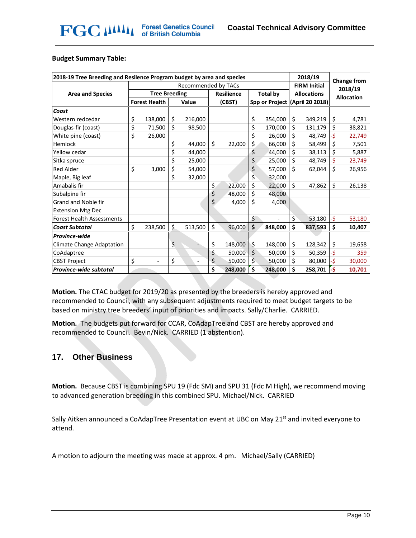#### **Budget Summary Table:**

| 2018-19 Tree Breeding and Resilence Program budget by area and species |                      |                              |                                      |                          |                    | 2018/19 |                     | Change from |                                |         |     |        |
|------------------------------------------------------------------------|----------------------|------------------------------|--------------------------------------|--------------------------|--------------------|---------|---------------------|-------------|--------------------------------|---------|-----|--------|
| Recommended by TACs                                                    |                      |                              |                                      |                          |                    |         | <b>FIRM Initial</b> |             |                                | 2018/19 |     |        |
| <b>Area and Species</b>                                                | <b>Tree Breeding</b> |                              | <b>Resilience</b><br><b>Total by</b> |                          | <b>Allocations</b> |         | <b>Allocation</b>   |             |                                |         |     |        |
|                                                                        |                      | <b>Forest Health</b>         | Value                                |                          | (CBST)             |         |                     |             | Spp or Project (April 20 2018) |         |     |        |
| Coast                                                                  |                      |                              |                                      |                          |                    |         |                     |             |                                |         |     |        |
| Western redcedar                                                       | \$                   | 138,000                      | \$                                   | 216,000                  |                    |         | \$                  | 354,000     | \$                             | 349,219 | \$  | 4,781  |
| Douglas-fir (coast)                                                    | \$                   | 71,500                       | \$                                   | 98,500                   |                    |         | \$                  | 170,000     | \$                             | 131,179 | \$  | 38,821 |
| White pine (coast)                                                     | \$                   | 26,000                       |                                      |                          |                    |         | \$                  | 26,000      | \$                             | 48,749  | -\$ | 22,749 |
| Hemlock                                                                |                      |                              | \$                                   | 44,000                   | \$                 | 22,000  | \$                  | 66,000      | \$                             | 58,499  | \$  | 7,501  |
| Yellow cedar                                                           |                      |                              | \$                                   | 44,000                   |                    |         | \$                  | 44,000      | \$                             | 38,113  | \$  | 5,887  |
| Sitka spruce                                                           |                      |                              | \$                                   | 25,000                   |                    |         | \$                  | 25,000      | \$                             | 48,749  | ٠\$ | 23,749 |
| <b>Red Alder</b>                                                       | \$                   | 3,000                        | \$                                   | 54,000                   |                    |         | \$                  | 57,000      | Ś.                             | 62,044  | \$  | 26,956 |
| Maple, Big leaf                                                        |                      |                              | \$                                   | 32,000                   |                    |         | \$                  | 32,000      |                                |         |     |        |
| Amabalis fir                                                           |                      |                              |                                      |                          | \$                 | 22,000  | \$                  | 22,000      | $\mathsf{\hat{S}}$             | 47,862  | \$  | 26,138 |
| Subalpine fir                                                          |                      |                              |                                      |                          | \$                 | 48,000  | \$                  | 48,000      |                                |         |     |        |
| Grand and Noble fir                                                    |                      |                              |                                      |                          | \$.                | 4,000   | \$                  | 4,000       |                                |         |     |        |
| <b>Extension Mtg Dec</b>                                               |                      |                              |                                      |                          |                    |         |                     |             |                                |         |     |        |
| <b>Forest Health Assessments</b>                                       |                      |                              |                                      |                          |                    |         | \$                  |             | \$                             | 53,180  | -\$ | 53,180 |
| <b>Coast Subtotal</b>                                                  | \$                   | 238,500                      | \$                                   | 513,500                  | \$                 | 96,000  | \$                  | 848,000     | \$                             | 837,593 | \$  | 10,407 |
| <b>Province-wide</b>                                                   |                      |                              |                                      |                          |                    |         |                     |             |                                |         |     |        |
| <b>Climate Change Adaptation</b>                                       |                      |                              | \$                                   |                          | \$                 | 148,000 | \$                  | 148,000     | \$                             | 128,342 | \$  | 19,658 |
| CoAdaptree                                                             |                      |                              |                                      |                          | \$                 | 50,000  | \$                  | 50,000      | \$                             | 50,359  | -\$ | 359    |
| <b>CBST Project</b>                                                    | \$                   | $\qquad \qquad \blacksquare$ | \$                                   | $\overline{\phantom{a}}$ | \$                 | 50,000  | \$                  | 50,000      | \$                             | 80,000  | -\$ | 30,000 |
| Province-wide subtotal                                                 |                      |                              |                                      |                          | \$                 | 248,000 | Ś                   | 248,000     | Ś                              | 258,701 | -\$ | 10,701 |

**Motion.** The CTAC budget for 2019/20 as presented by the breeders is hereby approved and recommended to Council, with any subsequent adjustments required to meet budget targets to be based on ministry tree breeders' input of priorities and impacts. Sally/Charlie. CARRIED.

**Motion.** The budgets put forward for CCAR, CoAdapTree and CBST are hereby approved and recommended to Council. Bevin/Nick. CARRIED (1 abstention).

#### **17. Other Business**

**Motion.** Because CBST is combining SPU 19 (Fdc SM) and SPU 31 (Fdc M High), we recommend moving to advanced generation breeding in this combined SPU. Michael/Nick. CARRIED

Sally Aitken announced a CoAdapTree Presentation event at UBC on May 21<sup>st</sup> and invited everyone to attend.

A motion to adjourn the meeting was made at approx. 4 pm. Michael/Sally (CARRIED)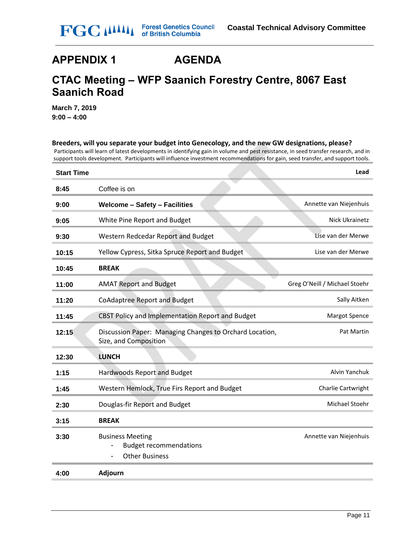# **APPENDIX 1 AGENDA**

# **CTAC Meeting – WFP Saanich Forestry Centre, 8067 East Saanich Road**

**March 7, 2019 9:00 – 4:00**

# **Breeders, will you separate your budget into Genecology, and the new GW designations, please?** Participants will learn of latest developments in identifying gain in volume and pest resistance, in seed transfer research, and in support tools development. Participants will influence investment recommendations for gain, seed transfer, and support tools. **Start Time Lead 8:45** Coffee is on **9:00 Welcome – Safety – Facilities** Annette van Niejenhuis **9:05** White Pine Report and Budget Nick Ukrainetz **9:30** Western Redcedar Report and Budget Lise van der Merwe **10:15** Yellow Cypress, Sitka Spruce Report and Budget Lise van der Merwe **10:45 BREAK 11:00 AMAT Report and Budget Greg O'Neill / Michael Stoehr 11:20** CoAdaptree Report and Budget Sally Airken Sally Airken **11:45** CBST Policy and Implementation Report and Budget Margot Spence **12:15** Discussion Paper: Managing Changes to Orchard Location, Size, and Composition Pat Martin **12:30 LUNCH 1:15** Hardwoods Report and Budget Alvin Yanchuk Alvin Yanchuk Alvin Yanchuk Alvin Yanchuk Alvin Yanchuk Alvin Yanchuk **1:45** Western Hemlock, True Firs Report and Budget Charlie Cartwright **2:30** Douglas-fir Report and Budget Michael Stoehr Michael Stoehr **3:15 BREAK 3:30** Business Meeting - Budget recommendations - Other Business Annette van Niejenhuis **4:00 Adjourn**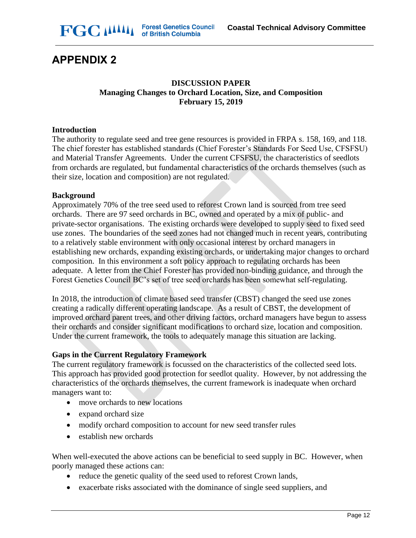

# **APPENDIX 2**

### **DISCUSSION PAPER Managing Changes to Orchard Location, Size, and Composition February 15, 2019**

#### **Introduction**

The authority to regulate seed and tree gene resources is provided in FRPA s. 158, 169, and 118. The chief forester has established standards (Chief Forester's Standards For Seed Use, CFSFSU) and Material Transfer Agreements. Under the current CFSFSU, the characteristics of seedlots from orchards are regulated, but fundamental characteristics of the orchards themselves (such as their size, location and composition) are not regulated.

#### **Background**

Approximately 70% of the tree seed used to reforest Crown land is sourced from tree seed orchards. There are 97 seed orchards in BC, owned and operated by a mix of public- and private-sector organisations. The existing orchards were developed to supply seed to fixed seed use zones. The boundaries of the seed zones had not changed much in recent years, contributing to a relatively stable environment with only occasional interest by orchard managers in establishing new orchards, expanding existing orchards, or undertaking major changes to orchard composition. In this environment a soft policy approach to regulating orchards has been adequate. A letter from the Chief Forester has provided non-binding guidance, and through the Forest Genetics Council BC's set of tree seed orchards has been somewhat self-regulating.

In 2018, the introduction of climate based seed transfer (CBST) changed the seed use zones creating a radically different operating landscape. As a result of CBST, the development of improved orchard parent trees, and other driving factors, orchard managers have begun to assess their orchards and consider significant modifications to orchard size, location and composition. Under the current framework, the tools to adequately manage this situation are lacking.

#### **Gaps in the Current Regulatory Framework**

The current regulatory framework is focussed on the characteristics of the collected seed lots. This approach has provided good protection for seedlot quality. However, by not addressing the characteristics of the orchards themselves, the current framework is inadequate when orchard managers want to:

- move orchards to new locations
- expand orchard size
- modify orchard composition to account for new seed transfer rules
- establish new orchards

When well-executed the above actions can be beneficial to seed supply in BC. However, when poorly managed these actions can:

- reduce the genetic quality of the seed used to reforest Crown lands,
- exacerbate risks associated with the dominance of single seed suppliers, and